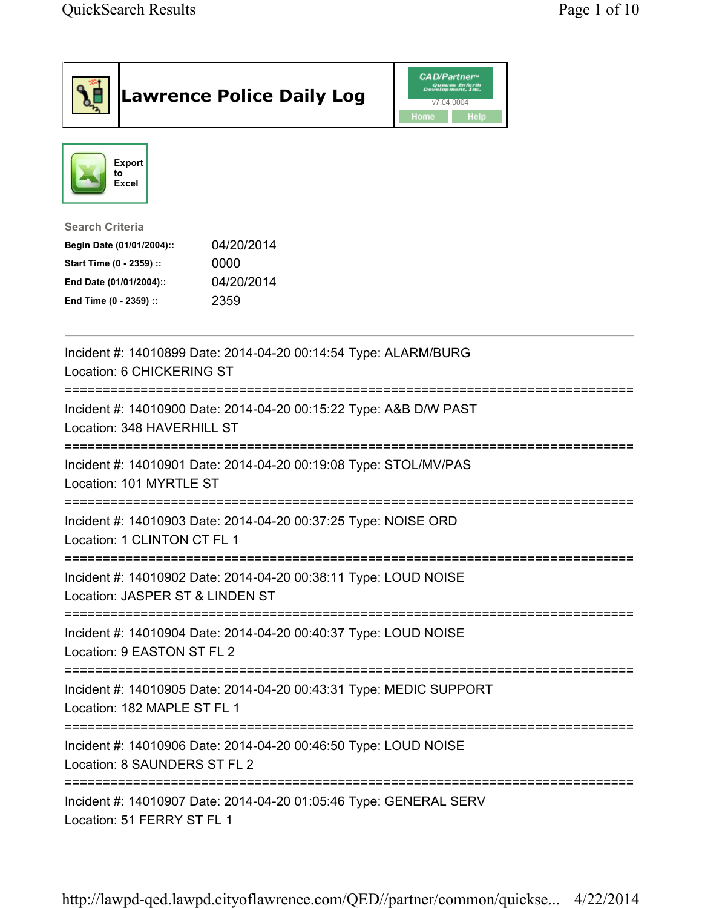| <b>Lawrence Police Daily Log</b>                                                                                                                                                 | <b>CAD/Partner</b><br>Queues Enforth<br>Development, Inc.<br>v7.04.0004<br><b>Home</b><br><b>Help</b> |
|----------------------------------------------------------------------------------------------------------------------------------------------------------------------------------|-------------------------------------------------------------------------------------------------------|
| Export<br>to<br>Excel                                                                                                                                                            |                                                                                                       |
| <b>Search Criteria</b><br>04/20/2014<br>Begin Date (01/01/2004)::<br>Start Time (0 - 2359) ::<br>0000<br>04/20/2014<br>End Date (01/01/2004)::<br>2359<br>End Time (0 - 2359) :: |                                                                                                       |
| Incident #: 14010899 Date: 2014-04-20 00:14:54 Type: ALARM/BURG<br>Location: 6 CHICKERING ST                                                                                     |                                                                                                       |
| Incident #: 14010900 Date: 2014-04-20 00:15:22 Type: A&B D/W PAST<br>Location: 348 HAVERHILL ST                                                                                  |                                                                                                       |
| Incident #: 14010901 Date: 2014-04-20 00:19:08 Type: STOL/MV/PAS<br>Location: 101 MYRTLE ST                                                                                      |                                                                                                       |
| Incident #: 14010903 Date: 2014-04-20 00:37:25 Type: NOISE ORD<br>Location: 1 CLINTON CT FL 1                                                                                    |                                                                                                       |
| Incident #: 14010902 Date: 2014-04-20 00:38:11 Type: LOUD NOISE<br>Location: JASPER ST & LINDEN ST                                                                               |                                                                                                       |
| Incident #: 14010904 Date: 2014-04-20 00:40:37 Type: LOUD NOISE<br>Location: 9 EASTON ST FL 2                                                                                    |                                                                                                       |
| Incident #: 14010905 Date: 2014-04-20 00:43:31 Type: MEDIC SUPPORT<br>Location: 182 MAPLE ST FL 1                                                                                |                                                                                                       |
| Incident #: 14010906 Date: 2014-04-20 00:46:50 Type: LOUD NOISE<br>Location: 8 SAUNDERS ST FL 2                                                                                  |                                                                                                       |
| Incident #: 14010907 Date: 2014-04-20 01:05:46 Type: GENERAL SERV<br>Location: 51 FERRY ST FL 1                                                                                  |                                                                                                       |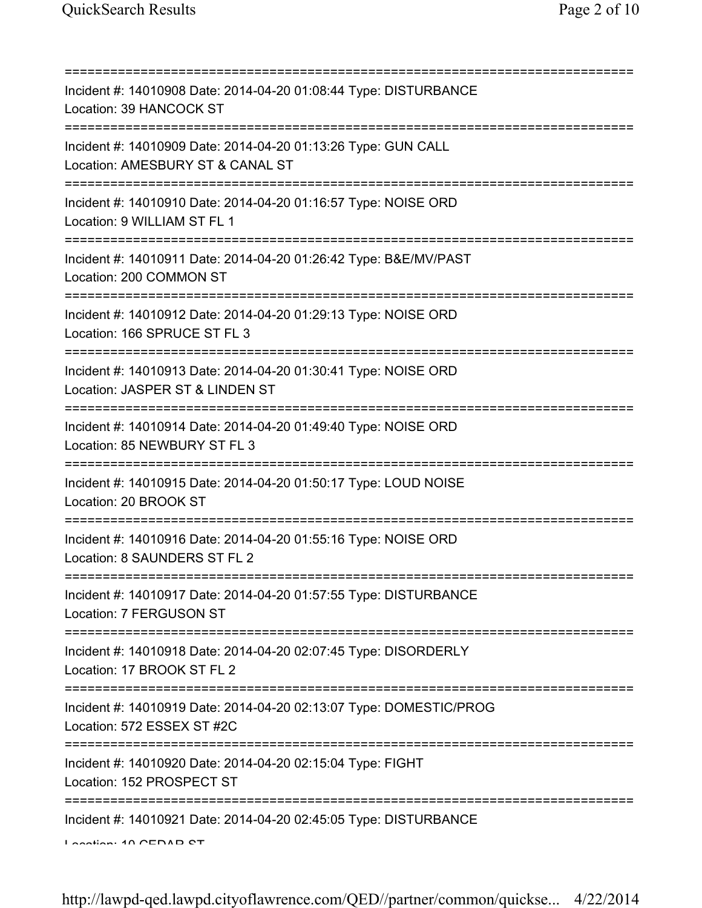| Incident #: 14010908 Date: 2014-04-20 01:08:44 Type: DISTURBANCE<br>Location: 39 HANCOCK ST                                         |
|-------------------------------------------------------------------------------------------------------------------------------------|
| Incident #: 14010909 Date: 2014-04-20 01:13:26 Type: GUN CALL<br>Location: AMESBURY ST & CANAL ST<br>==========================     |
| Incident #: 14010910 Date: 2014-04-20 01:16:57 Type: NOISE ORD<br>Location: 9 WILLIAM ST FL 1                                       |
| Incident #: 14010911 Date: 2014-04-20 01:26:42 Type: B&E/MV/PAST<br>Location: 200 COMMON ST<br>==================================== |
| Incident #: 14010912 Date: 2014-04-20 01:29:13 Type: NOISE ORD<br>Location: 166 SPRUCE ST FL 3<br>================================  |
| Incident #: 14010913 Date: 2014-04-20 01:30:41 Type: NOISE ORD<br>Location: JASPER ST & LINDEN ST                                   |
| Incident #: 14010914 Date: 2014-04-20 01:49:40 Type: NOISE ORD<br>Location: 85 NEWBURY ST FL 3                                      |
| Incident #: 14010915 Date: 2014-04-20 01:50:17 Type: LOUD NOISE<br>Location: 20 BROOK ST                                            |
| Incident #: 14010916 Date: 2014-04-20 01:55:16 Type: NOISE ORD<br>Location: 8 SAUNDERS ST FL 2                                      |
| Incident #: 14010917 Date: 2014-04-20 01:57:55 Type: DISTURBANCE<br>Location: 7 FERGUSON ST                                         |
| ----------------------------------<br>Incident #: 14010918 Date: 2014-04-20 02:07:45 Type: DISORDERLY<br>Location: 17 BROOK ST FL 2 |
| Incident #: 14010919 Date: 2014-04-20 02:13:07 Type: DOMESTIC/PROG<br>Location: 572 ESSEX ST #2C                                    |
| Incident #: 14010920 Date: 2014-04-20 02:15:04 Type: FIGHT<br>Location: 152 PROSPECT ST                                             |
| :=========<br>Incident #: 14010921 Date: 2014-04-20 02:45:05 Type: DISTURBANCE<br>Lootion: 10 CEDAD CT                              |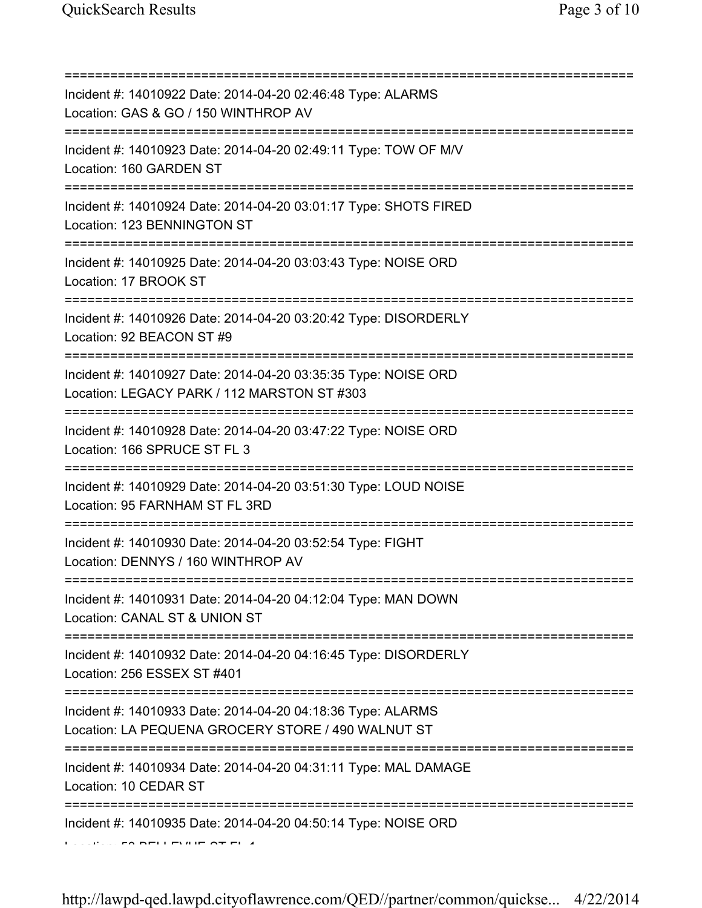| Incident #: 14010922 Date: 2014-04-20 02:46:48 Type: ALARMS<br>Location: GAS & GO / 150 WINTHROP AV<br>=======================                        |
|-------------------------------------------------------------------------------------------------------------------------------------------------------|
| Incident #: 14010923 Date: 2014-04-20 02:49:11 Type: TOW OF M/V<br>Location: 160 GARDEN ST<br>================================                        |
| Incident #: 14010924 Date: 2014-04-20 03:01:17 Type: SHOTS FIRED<br>Location: 123 BENNINGTON ST<br>====================                               |
| Incident #: 14010925 Date: 2014-04-20 03:03:43 Type: NOISE ORD<br>Location: 17 BROOK ST                                                               |
| Incident #: 14010926 Date: 2014-04-20 03:20:42 Type: DISORDERLY<br>Location: 92 BEACON ST #9                                                          |
| Incident #: 14010927 Date: 2014-04-20 03:35:35 Type: NOISE ORD<br>Location: LEGACY PARK / 112 MARSTON ST #303                                         |
| Incident #: 14010928 Date: 2014-04-20 03:47:22 Type: NOISE ORD<br>Location: 166 SPRUCE ST FL 3                                                        |
| Incident #: 14010929 Date: 2014-04-20 03:51:30 Type: LOUD NOISE<br>Location: 95 FARNHAM ST FL 3RD                                                     |
| Incident #: 14010930 Date: 2014-04-20 03:52:54 Type: FIGHT<br>Location: DENNYS / 160 WINTHROP AV                                                      |
| Incident #: 14010931 Date: 2014-04-20 04:12:04 Type: MAN DOWN<br>Location: CANAL ST & UNION ST                                                        |
| Incident #: 14010932 Date: 2014-04-20 04:16:45 Type: DISORDERLY<br>Location: 256 ESSEX ST #401                                                        |
| ================================<br>Incident #: 14010933 Date: 2014-04-20 04:18:36 Type: ALARMS<br>Location: LA PEQUENA GROCERY STORE / 490 WALNUT ST |
| ============<br>Incident #: 14010934 Date: 2014-04-20 04:31:11 Type: MAL DAMAGE<br>Location: 10 CEDAR ST                                              |
| Incident #: 14010935 Date: 2014-04-20 04:50:14 Type: NOISE ORD                                                                                        |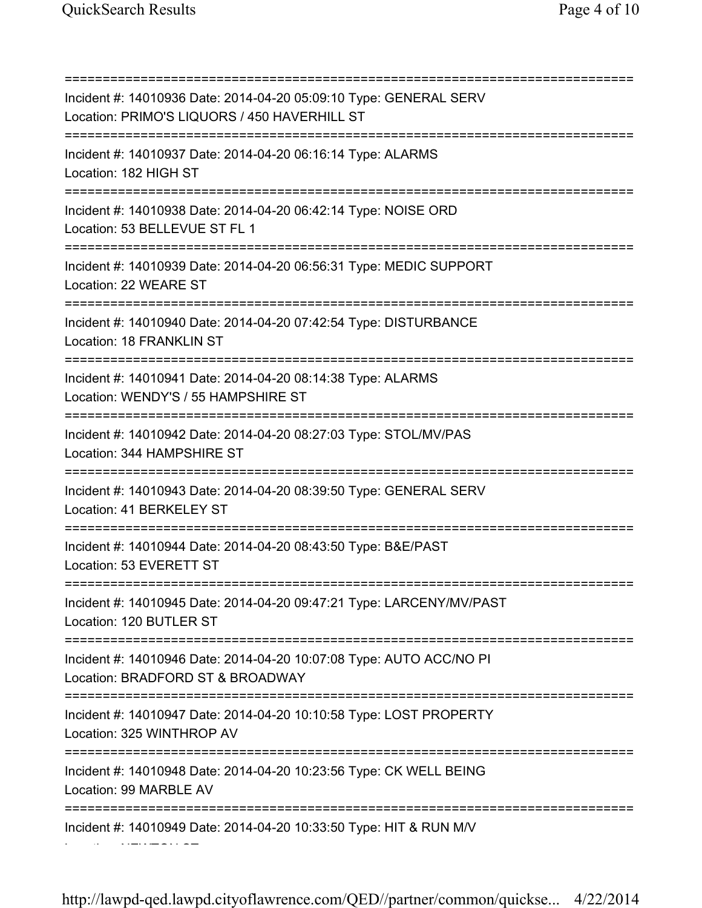Location: NEWTON ST

=========================================================================== Incident #: 14010936 Date: 2014-04-20 05:09:10 Type: GENERAL SERV Location: PRIMO'S LIQUORS / 450 HAVERHILL ST =========================================================================== Incident #: 14010937 Date: 2014-04-20 06:16:14 Type: ALARMS Location: 182 HIGH ST =========================================================================== Incident #: 14010938 Date: 2014-04-20 06:42:14 Type: NOISE ORD Location: 53 BELLEVUE ST FL 1 =========================================================================== Incident #: 14010939 Date: 2014-04-20 06:56:31 Type: MEDIC SUPPORT Location: 22 WEARE ST =========================================================================== Incident #: 14010940 Date: 2014-04-20 07:42:54 Type: DISTURBANCE Location: 18 FRANKLIN ST =========================================================================== Incident #: 14010941 Date: 2014-04-20 08:14:38 Type: ALARMS Location: WENDY'S / 55 HAMPSHIRE ST =========================================================================== Incident #: 14010942 Date: 2014-04-20 08:27:03 Type: STOL/MV/PAS Location: 344 HAMPSHIRE ST =========================================================================== Incident #: 14010943 Date: 2014-04-20 08:39:50 Type: GENERAL SERV Location: 41 BERKELEY ST =========================================================================== Incident #: 14010944 Date: 2014-04-20 08:43:50 Type: B&E/PAST Location: 53 EVERETT ST =========================================================================== Incident #: 14010945 Date: 2014-04-20 09:47:21 Type: LARCENY/MV/PAST Location: 120 BUTLER ST =========================================================================== Incident #: 14010946 Date: 2014-04-20 10:07:08 Type: AUTO ACC/NO PI Location: BRADFORD ST & BROADWAY =========================================================================== Incident #: 14010947 Date: 2014-04-20 10:10:58 Type: LOST PROPERTY Location: 325 WINTHROP AV =========================================================================== Incident #: 14010948 Date: 2014-04-20 10:23:56 Type: CK WELL BEING Location: 99 MARBLE AV =========================================================================== Incident #: 14010949 Date: 2014-04-20 10:33:50 Type: HIT & RUN M/V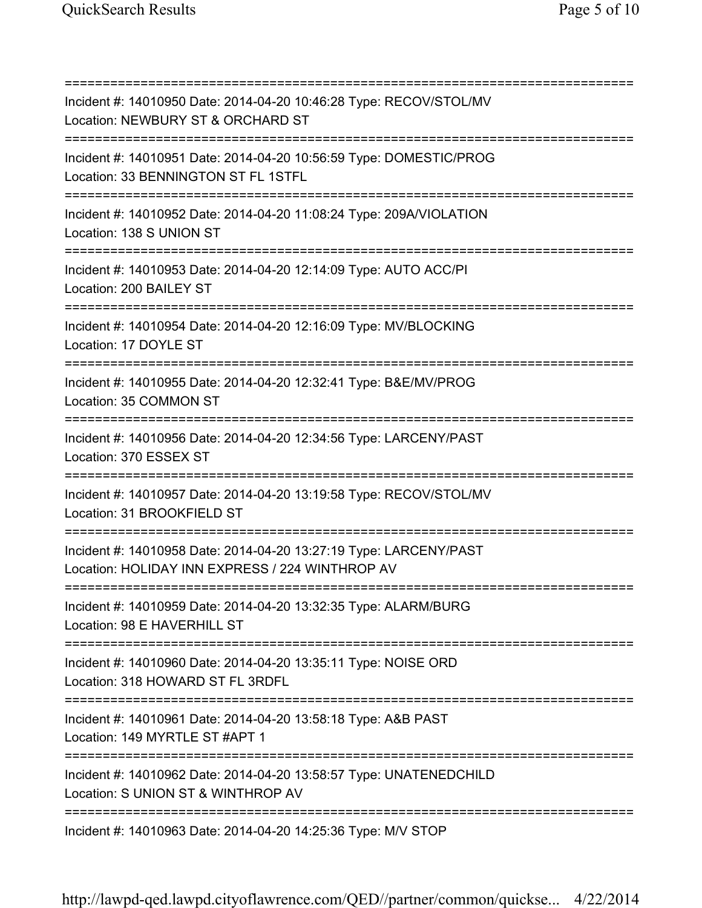=========================================================================== Incident #: 14010950 Date: 2014-04-20 10:46:28 Type: RECOV/STOL/MV Location: NEWBURY ST & ORCHARD ST =========================================================================== Incident #: 14010951 Date: 2014-04-20 10:56:59 Type: DOMESTIC/PROG Location: 33 BENNINGTON ST FL 1STFL =========================================================================== Incident #: 14010952 Date: 2014-04-20 11:08:24 Type: 209A/VIOLATION Location: 138 S UNION ST =========================================================================== Incident #: 14010953 Date: 2014-04-20 12:14:09 Type: AUTO ACC/PI Location: 200 BAILEY ST =========================================================================== Incident #: 14010954 Date: 2014-04-20 12:16:09 Type: MV/BLOCKING Location: 17 DOYLE ST =========================================================================== Incident #: 14010955 Date: 2014-04-20 12:32:41 Type: B&E/MV/PROG Location: 35 COMMON ST =========================================================================== Incident #: 14010956 Date: 2014-04-20 12:34:56 Type: LARCENY/PAST Location: 370 ESSEX ST =========================================================================== Incident #: 14010957 Date: 2014-04-20 13:19:58 Type: RECOV/STOL/MV Location: 31 BROOKFIELD ST =========================================================================== Incident #: 14010958 Date: 2014-04-20 13:27:19 Type: LARCENY/PAST Location: HOLIDAY INN EXPRESS / 224 WINTHROP AV =========================================================================== Incident #: 14010959 Date: 2014-04-20 13:32:35 Type: ALARM/BURG Location: 98 E HAVERHILL ST =========================================================================== Incident #: 14010960 Date: 2014-04-20 13:35:11 Type: NOISE ORD Location: 318 HOWARD ST FL 3RDFL =========================================================================== Incident #: 14010961 Date: 2014-04-20 13:58:18 Type: A&B PAST Location: 149 MYRTLE ST #APT 1 =========================================================================== Incident #: 14010962 Date: 2014-04-20 13:58:57 Type: UNATENEDCHILD Location: S UNION ST & WINTHROP AV =========================================================================== Incident #: 14010963 Date: 2014-04-20 14:25:36 Type: M/V STOP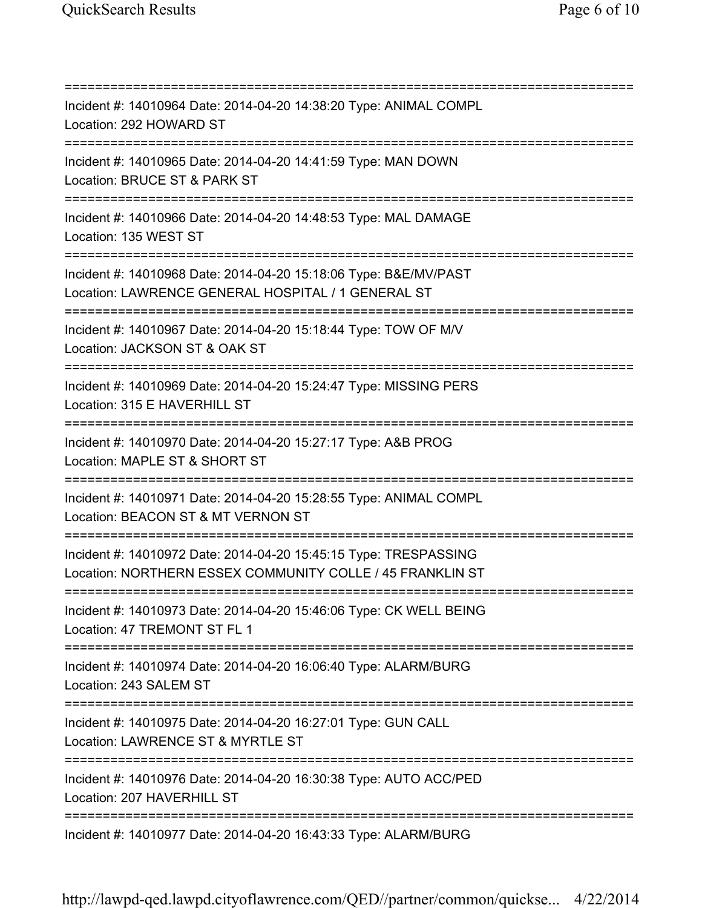=========================================================================== Incident #: 14010964 Date: 2014-04-20 14:38:20 Type: ANIMAL COMPL Location: 292 HOWARD ST =========================================================================== Incident #: 14010965 Date: 2014-04-20 14:41:59 Type: MAN DOWN Location: BRUCE ST & PARK ST =========================================================================== Incident #: 14010966 Date: 2014-04-20 14:48:53 Type: MAL DAMAGE Location: 135 WEST ST =========================================================================== Incident #: 14010968 Date: 2014-04-20 15:18:06 Type: B&E/MV/PAST Location: LAWRENCE GENERAL HOSPITAL / 1 GENERAL ST =========================================================================== Incident #: 14010967 Date: 2014-04-20 15:18:44 Type: TOW OF M/V Location: JACKSON ST & OAK ST =========================================================================== Incident #: 14010969 Date: 2014-04-20 15:24:47 Type: MISSING PERS Location: 315 E HAVERHILL ST =========================================================================== Incident #: 14010970 Date: 2014-04-20 15:27:17 Type: A&B PROG Location: MAPLE ST & SHORT ST =========================================================================== Incident #: 14010971 Date: 2014-04-20 15:28:55 Type: ANIMAL COMPL Location: BEACON ST & MT VERNON ST =========================================================================== Incident #: 14010972 Date: 2014-04-20 15:45:15 Type: TRESPASSING Location: NORTHERN ESSEX COMMUNITY COLLE / 45 FRANKLIN ST =========================================================================== Incident #: 14010973 Date: 2014-04-20 15:46:06 Type: CK WELL BEING Location: 47 TREMONT ST FL 1 =========================================================================== Incident #: 14010974 Date: 2014-04-20 16:06:40 Type: ALARM/BURG Location: 243 SALEM ST =========================================================================== Incident #: 14010975 Date: 2014-04-20 16:27:01 Type: GUN CALL Location: LAWRENCE ST & MYRTLE ST =========================================================================== Incident #: 14010976 Date: 2014-04-20 16:30:38 Type: AUTO ACC/PED Location: 207 HAVERHILL ST =========================================================================== Incident #: 14010977 Date: 2014-04-20 16:43:33 Type: ALARM/BURG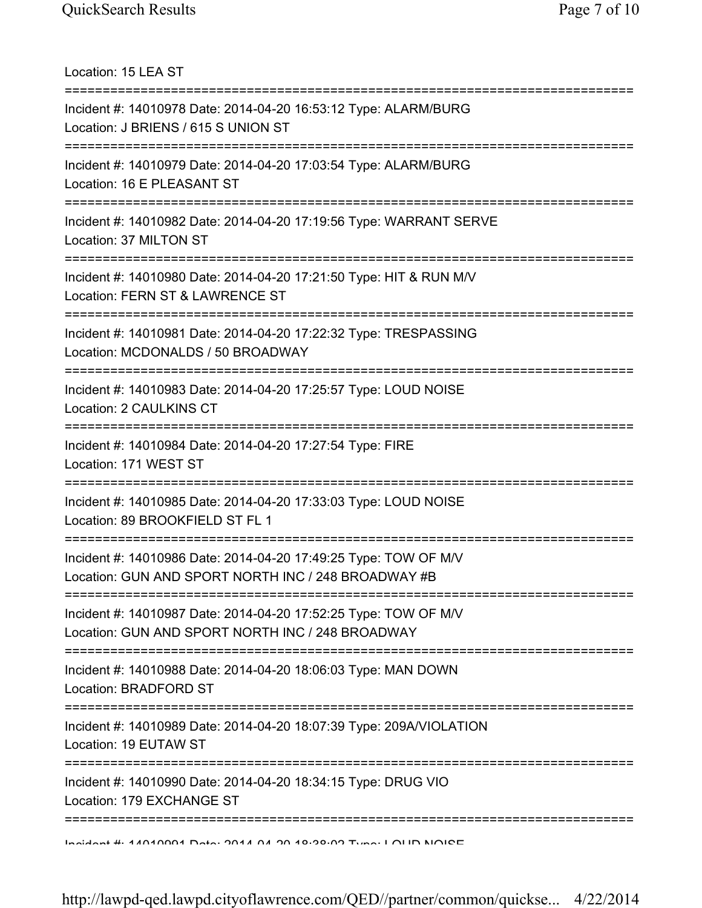Location: 15 LEA ST =========================================================================== Incident #: 14010978 Date: 2014-04-20 16:53:12 Type: ALARM/BURG Location: J BRIENS / 615 S UNION ST =========================================================================== Incident #: 14010979 Date: 2014-04-20 17:03:54 Type: ALARM/BURG Location: 16 E PLEASANT ST =========================================================================== Incident #: 14010982 Date: 2014-04-20 17:19:56 Type: WARRANT SERVE Location: 37 MILTON ST =========================================================================== Incident #: 14010980 Date: 2014-04-20 17:21:50 Type: HIT & RUN M/V Location: FERN ST & LAWRENCE ST =========================================================================== Incident #: 14010981 Date: 2014-04-20 17:22:32 Type: TRESPASSING Location: MCDONALDS / 50 BROADWAY =========================================================================== Incident #: 14010983 Date: 2014-04-20 17:25:57 Type: LOUD NOISE Location: 2 CAULKINS CT =========================================================================== Incident #: 14010984 Date: 2014-04-20 17:27:54 Type: FIRE Location: 171 WEST ST =========================================================================== Incident #: 14010985 Date: 2014-04-20 17:33:03 Type: LOUD NOISE Location: 89 BROOKFIELD ST FL 1 =========================================================================== Incident #: 14010986 Date: 2014-04-20 17:49:25 Type: TOW OF M/V Location: GUN AND SPORT NORTH INC / 248 BROADWAY #B =========================================================================== Incident #: 14010987 Date: 2014-04-20 17:52:25 Type: TOW OF M/V Location: GUN AND SPORT NORTH INC / 248 BROADWAY =========================================================================== Incident #: 14010988 Date: 2014-04-20 18:06:03 Type: MAN DOWN Location: BRADFORD ST =========================================================================== Incident #: 14010989 Date: 2014-04-20 18:07:39 Type: 209A/VIOLATION Location: 19 EUTAW ST =========================================================================== Incident #: 14010990 Date: 2014-04-20 18:34:15 Type: DRUG VIO Location: 179 EXCHANGE ST =========================================================================== Incident #: 14010991 Date: 2014 04 20 18:38:02 Type: LOUD NOISE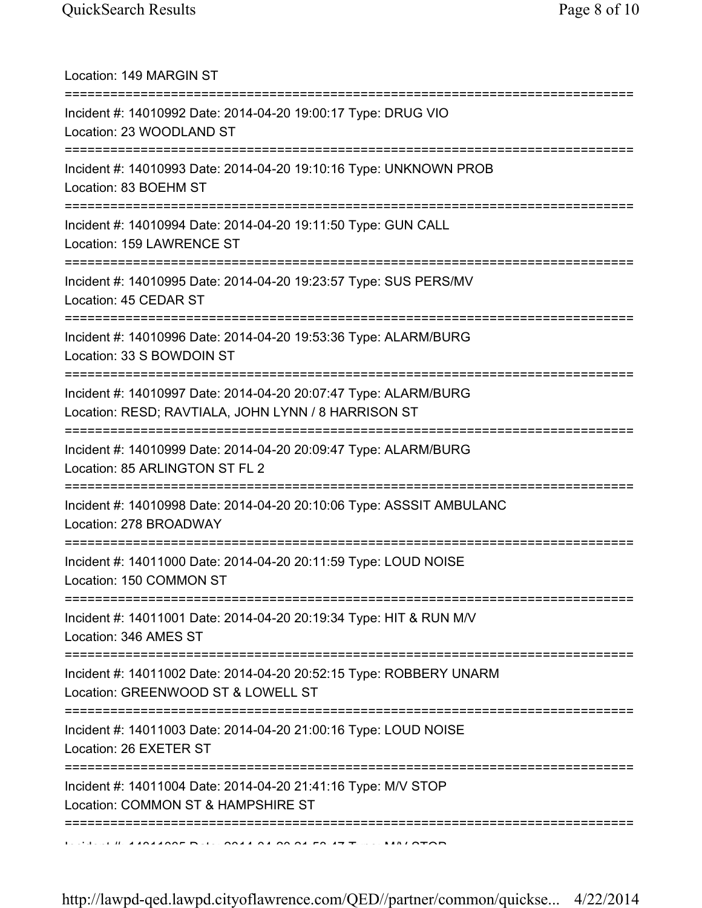Location: 149 MARGIN ST =========================================================================== Incident #: 14010992 Date: 2014-04-20 19:00:17 Type: DRUG VIO Location: 23 WOODLAND ST =========================================================================== Incident #: 14010993 Date: 2014-04-20 19:10:16 Type: UNKNOWN PROB Location: 83 BOEHM ST =========================================================================== Incident #: 14010994 Date: 2014-04-20 19:11:50 Type: GUN CALL Location: 159 LAWRENCE ST =========================================================================== Incident #: 14010995 Date: 2014-04-20 19:23:57 Type: SUS PERS/MV Location: 45 CEDAR ST =========================================================================== Incident #: 14010996 Date: 2014-04-20 19:53:36 Type: ALARM/BURG Location: 33 S BOWDOIN ST =========================================================================== Incident #: 14010997 Date: 2014-04-20 20:07:47 Type: ALARM/BURG Location: RESD; RAVTIALA, JOHN LYNN / 8 HARRISON ST =========================================================================== Incident #: 14010999 Date: 2014-04-20 20:09:47 Type: ALARM/BURG Location: 85 ARLINGTON ST FL 2 =========================================================================== Incident #: 14010998 Date: 2014-04-20 20:10:06 Type: ASSSIT AMBULANC Location: 278 BROADWAY =========================================================================== Incident #: 14011000 Date: 2014-04-20 20:11:59 Type: LOUD NOISE Location: 150 COMMON ST =========================================================================== Incident #: 14011001 Date: 2014-04-20 20:19:34 Type: HIT & RUN M/V Location: 346 AMES ST =========================================================================== Incident #: 14011002 Date: 2014-04-20 20:52:15 Type: ROBBERY UNARM Location: GREENWOOD ST & LOWELL ST =========================================================================== Incident #: 14011003 Date: 2014-04-20 21:00:16 Type: LOUD NOISE Location: 26 EXETER ST =========================================================================== Incident #: 14011004 Date: 2014-04-20 21:41:16 Type: M/V STOP Location: COMMON ST & HAMPSHIRE ST ===========================================================================  $I$  Incident Date: 2014 04 20 21:50:47 Type: MALOTOP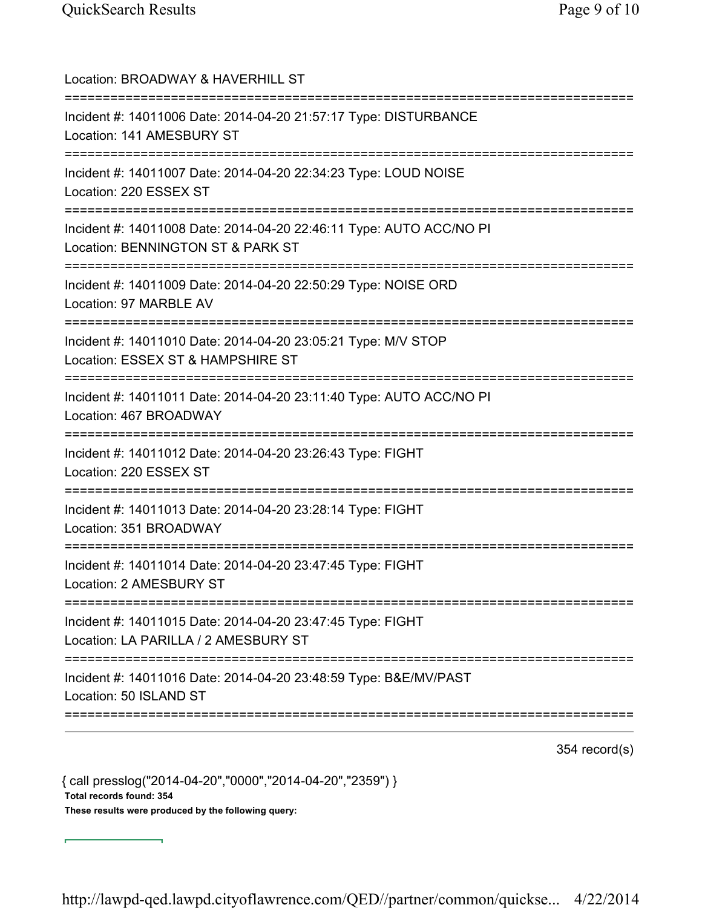| ==================================<br>:========================== | Location: BROADWAY & HAVERHILL ST                                                                        |
|-------------------------------------------------------------------|----------------------------------------------------------------------------------------------------------|
|                                                                   | Incident #: 14011006 Date: 2014-04-20 21:57:17 Type: DISTURBANCE<br>Location: 141 AMESBURY ST            |
|                                                                   | Incident #: 14011007 Date: 2014-04-20 22:34:23 Type: LOUD NOISE<br>Location: 220 ESSEX ST                |
|                                                                   | Incident #: 14011008 Date: 2014-04-20 22:46:11 Type: AUTO ACC/NO PI<br>Location: BENNINGTON ST & PARK ST |
|                                                                   | Incident #: 14011009 Date: 2014-04-20 22:50:29 Type: NOISE ORD<br>Location: 97 MARBLE AV                 |
|                                                                   | Incident #: 14011010 Date: 2014-04-20 23:05:21 Type: M/V STOP<br>Location: ESSEX ST & HAMPSHIRE ST       |
|                                                                   | Incident #: 14011011 Date: 2014-04-20 23:11:40 Type: AUTO ACC/NO PI<br>Location: 467 BROADWAY            |
|                                                                   | Incident #: 14011012 Date: 2014-04-20 23:26:43 Type: FIGHT<br>Location: 220 ESSEX ST                     |
|                                                                   | Incident #: 14011013 Date: 2014-04-20 23:28:14 Type: FIGHT<br>Location: 351 BROADWAY                     |
|                                                                   | Incident #: 14011014 Date: 2014-04-20 23:47:45 Type: FIGHT<br>Location: 2 AMESBURY ST                    |
|                                                                   | Incident #: 14011015 Date: 2014-04-20 23:47:45 Type: FIGHT<br>Location: LA PARILLA / 2 AMESBURY ST       |
|                                                                   | Incident #: 14011016 Date: 2014-04-20 23:48:59 Type: B&E/MV/PAST<br>Location: 50 ISLAND ST               |

354 record(s)

{ call presslog("2014-04-20","0000","2014-04-20","2359") } Total records found: 354 These results were produced by the following query: